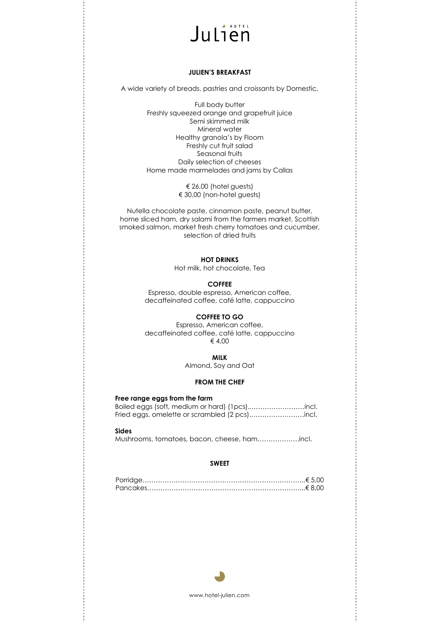# **HOTEL** Julien

#### **JULIEN'S BREAKFAST**

A wide variety of breads, pastries and croissants by Domestic,

Full body butter Freshly squeezed orange and grapefruit juice Semi skimmed milk Mineral water Healthy granola's by Floom Freshly cut fruit salad Seasonal fruits Daily selection of cheeses Home made marmelades and jams by Callas

> € 26,00 (hotel guests) € 30,00 (non-hotel guests)

Nutella chocolate paste, cinnamon paste, peanut butter, home sliced ham, dry salami from the farmers market, Scottish smoked salmon, market fresh cherry tomatoes and cucumber, selection of dried fruits

### **HOT DRINKS**

Hot milk, hot chocolate, Tea

#### **COFFEE**

Espresso, double espresso, American coffee, decaffeinated coffee, café latte, cappuccino

#### **COFFEE TO GO**

Espresso, American coffee, decaffeinated coffee, café latte, cappuccino € 4,00

#### **MILK**

Almond, Soy and Oat

## **FROM THE CHEF**

#### **Free range eggs from the farm**

Boiled eggs (soft, medium or hard) (1pcs)..……………………incl. Fried eggs, omelette or scrambled (2 pcs).……………………incl.

#### **Sides**

Mushrooms, tomatoes, bacon, cheese, ham……………….incl.

#### **SWEET**



www.hotel-julien.com